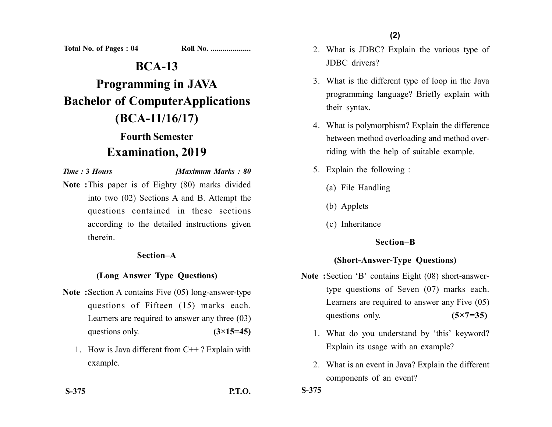**Total No. of Pages : 04 Roll No. ...................** 

# **BCA-13 Programming in JAVA Bachelor of ComputerApplications (BCA-11/16/17) Fourth Semester**

## **Examination, 2019**

*Time :* **3** *Hours [Maximum Marks : 80*

**Note :**This paper is of Eighty (80) marks divided into two (02) Sections A and B. Attempt the questions contained in these sections according to the detailed instructions given therein.

#### **Section–A**

#### **(Long Answer Type Questions)**

- **Note :**Section A contains Five (05) long-answer-type questions of Fifteen (15) marks each. Learners are required to answer any three (03) questions only.  $(3\times15=45)$ 
	- 1. How is Java different from  $C++$ ? Explain with example.
- 
- 2. What is JDBC? Explain the various type of JDBC drivers?
- 3. What is the different type of loop in the Java programming language? Briefly explain with their syntax.
- 4. What is polymorphism? Explain the difference between method overloading and method overriding with the help of suitable example.
- 5. Explain the following :
	- (a) File Handling
	- (b) Applets
	- (c) Inheritance

#### **Section–B**

#### **(Short-Answer-Type Questions)**

- **Note :**Section 'B' contains Eight (08) short-answertype questions of Seven (07) marks each. Learners are required to answer any Five (05) questions only. **(5×7=35)** 
	- 1. What do you understand by 'this' keyword? Explain its usage with an example?
	- 2. What is an event in Java? Explain the different components of an event?